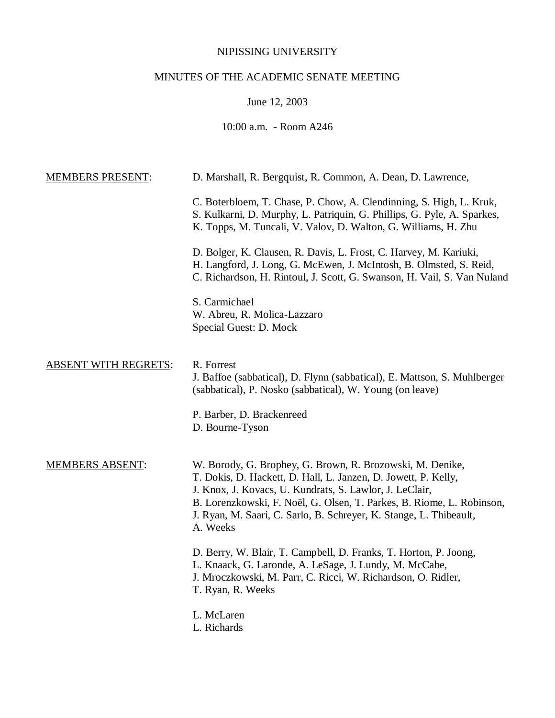## NIPISSING UNIVERSITY

# MINUTES OF THE ACADEMIC SENATE MEETING

June 12, 2003

# 10:00 a.m. - Room A246

| <b>MEMBERS PRESENT:</b>     | D. Marshall, R. Bergquist, R. Common, A. Dean, D. Lawrence,                                                                                                                                                                                                                                                                                       |
|-----------------------------|---------------------------------------------------------------------------------------------------------------------------------------------------------------------------------------------------------------------------------------------------------------------------------------------------------------------------------------------------|
|                             | C. Boterbloem, T. Chase, P. Chow, A. Clendinning, S. High, L. Kruk,<br>S. Kulkarni, D. Murphy, L. Patriquin, G. Phillips, G. Pyle, A. Sparkes,<br>K. Topps, M. Tuncali, V. Valov, D. Walton, G. Williams, H. Zhu                                                                                                                                  |
|                             | D. Bolger, K. Clausen, R. Davis, L. Frost, C. Harvey, M. Kariuki,<br>H. Langford, J. Long, G. McEwen, J. McIntosh, B. Olmsted, S. Reid,<br>C. Richardson, H. Rintoul, J. Scott, G. Swanson, H. Vail, S. Van Nuland                                                                                                                                |
|                             | S. Carmichael<br>W. Abreu, R. Molica-Lazzaro<br>Special Guest: D. Mock                                                                                                                                                                                                                                                                            |
| <b>ABSENT WITH REGRETS:</b> | R. Forrest<br>J. Baffoe (sabbatical), D. Flynn (sabbatical), E. Mattson, S. Muhlberger<br>(sabbatical), P. Nosko (sabbatical), W. Young (on leave)                                                                                                                                                                                                |
|                             | P. Barber, D. Brackenreed<br>D. Bourne-Tyson                                                                                                                                                                                                                                                                                                      |
| <b>MEMBERS ABSENT:</b>      | W. Borody, G. Brophey, G. Brown, R. Brozowski, M. Denike,<br>T. Dokis, D. Hackett, D. Hall, L. Janzen, D. Jowett, P. Kelly,<br>J. Knox, J. Kovacs, U. Kundrats, S. Lawlor, J. LeClair,<br>B. Lorenzkowski, F. Noël, G. Olsen, T. Parkes, B. Riome, L. Robinson,<br>J. Ryan, M. Saari, C. Sarlo, B. Schreyer, K. Stange, L. Thibeault,<br>A. Weeks |
|                             | D. Berry, W. Blair, T. Campbell, D. Franks, T. Horton, P. Joong,<br>L. Knaack, G. Laronde, A. LeSage, J. Lundy, M. McCabe,<br>J. Mroczkowski, M. Parr, C. Ricci, W. Richardson, O. Ridler,<br>T. Ryan, R. Weeks                                                                                                                                   |
|                             | L. McLaren<br>L. Richards                                                                                                                                                                                                                                                                                                                         |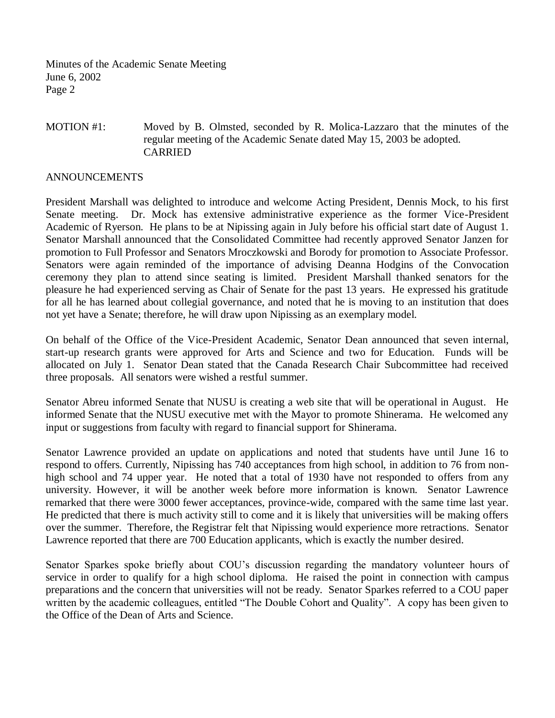Minutes of the Academic Senate Meeting June 6, 2002 Page 2

### MOTION #1: Moved by B. Olmsted, seconded by R. Molica-Lazzaro that the minutes of the regular meeting of the Academic Senate dated May 15, 2003 be adopted. CARRIED

#### ANNOUNCEMENTS

President Marshall was delighted to introduce and welcome Acting President, Dennis Mock, to his first Senate meeting. Dr. Mock has extensive administrative experience as the former Vice-President Academic of Ryerson. He plans to be at Nipissing again in July before his official start date of August 1. Senator Marshall announced that the Consolidated Committee had recently approved Senator Janzen for promotion to Full Professor and Senators Mroczkowski and Borody for promotion to Associate Professor. Senators were again reminded of the importance of advising Deanna Hodgins of the Convocation ceremony they plan to attend since seating is limited. President Marshall thanked senators for the pleasure he had experienced serving as Chair of Senate for the past 13 years. He expressed his gratitude for all he has learned about collegial governance, and noted that he is moving to an institution that does not yet have a Senate; therefore, he will draw upon Nipissing as an exemplary model.

On behalf of the Office of the Vice-President Academic, Senator Dean announced that seven internal, start-up research grants were approved for Arts and Science and two for Education. Funds will be allocated on July 1. Senator Dean stated that the Canada Research Chair Subcommittee had received three proposals. All senators were wished a restful summer.

Senator Abreu informed Senate that NUSU is creating a web site that will be operational in August. He informed Senate that the NUSU executive met with the Mayor to promote Shinerama. He welcomed any input or suggestions from faculty with regard to financial support for Shinerama.

Senator Lawrence provided an update on applications and noted that students have until June 16 to respond to offers. Currently, Nipissing has 740 acceptances from high school, in addition to 76 from nonhigh school and 74 upper year. He noted that a total of 1930 have not responded to offers from any university. However, it will be another week before more information is known. Senator Lawrence remarked that there were 3000 fewer acceptances, province-wide, compared with the same time last year. He predicted that there is much activity still to come and it is likely that universities will be making offers over the summer. Therefore, the Registrar felt that Nipissing would experience more retractions. Senator Lawrence reported that there are 700 Education applicants, which is exactly the number desired.

Senator Sparkes spoke briefly about COU's discussion regarding the mandatory volunteer hours of service in order to qualify for a high school diploma. He raised the point in connection with campus preparations and the concern that universities will not be ready. Senator Sparkes referred to a COU paper written by the academic colleagues, entitled "The Double Cohort and Quality". A copy has been given to the Office of the Dean of Arts and Science.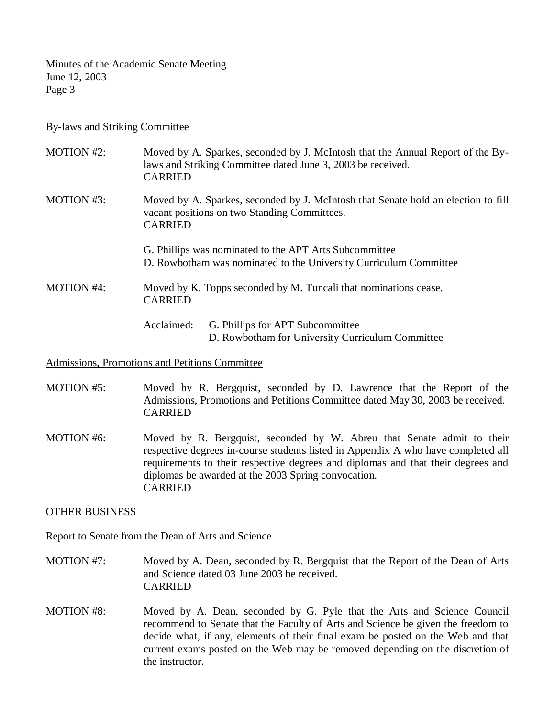Minutes of the Academic Senate Meeting June 12, 2003 Page 3

#### By-laws and Striking Committee

| <b>MOTION #2:</b>                                      | <b>CARRIED</b> | Moved by A. Sparkes, seconded by J. McIntosh that the Annual Report of the By-<br>laws and Striking Committee dated June 3, 2003 be received. |
|--------------------------------------------------------|----------------|-----------------------------------------------------------------------------------------------------------------------------------------------|
| MOTION #3:                                             | <b>CARRIED</b> | Moved by A. Sparkes, seconded by J. McIntosh that Senate hold an election to fill<br>vacant positions on two Standing Committees.             |
| G. Phillips was nominated to the APT Arts Subcommittee |                | D. Rowbotham was nominated to the University Curriculum Committee                                                                             |
| <b>MOTION #4:</b><br><b>CARRIED</b>                    |                | Moved by K. Topps seconded by M. Tuncali that nominations cease.                                                                              |
|                                                        | Acclaimed:     | G. Phillips for APT Subcommittee<br>D. Rowbotham for University Curriculum Committee                                                          |

#### Admissions, Promotions and Petitions Committee

- MOTION #5: Moved by R. Bergquist, seconded by D. Lawrence that the Report of the Admissions, Promotions and Petitions Committee dated May 30, 2003 be received. CARRIED
- MOTION #6: Moved by R. Bergquist, seconded by W. Abreu that Senate admit to their respective degrees in-course students listed in Appendix A who have completed all requirements to their respective degrees and diplomas and that their degrees and diplomas be awarded at the 2003 Spring convocation. CARRIED

### OTHER BUSINESS

### Report to Senate from the Dean of Arts and Science

- MOTION #7: Moved by A. Dean, seconded by R. Bergquist that the Report of the Dean of Arts and Science dated 03 June 2003 be received. CARRIED
- MOTION #8: Moved by A. Dean, seconded by G. Pyle that the Arts and Science Council recommend to Senate that the Faculty of Arts and Science be given the freedom to decide what, if any, elements of their final exam be posted on the Web and that current exams posted on the Web may be removed depending on the discretion of the instructor.